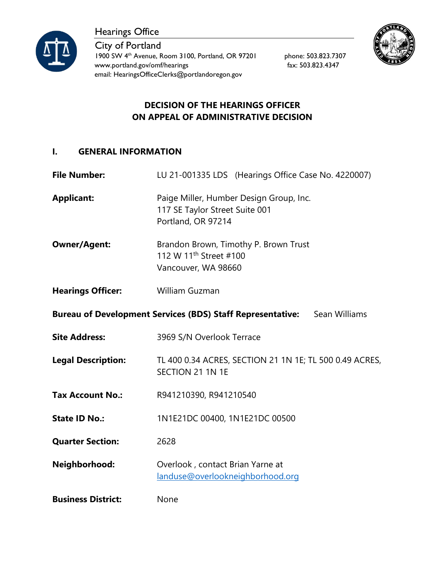



City of Portland 1900 SW 4<sup>th</sup> Avenue, Room 3100, Portland, OR 97201 phone: 503.823.7307 www.portland.gov/omf/hearings fax: 503.823.4347 email: HearingsOfficeClerks@portlandoregon.gov



# **DECISION OF THE HEARINGS OFFICER ON APPEAL OF ADMINISTRATIVE DECISION**

### **I. GENERAL INFORMATION**

**File Number:** LU 21-001335 LDS (Hearings Office Case No. 4220007)

**Applicant:** Paige Miller, Humber Design Group, Inc. 117 SE Taylor Street Suite 001 Portland, OR 97214

- **Owner/Agent:** Brandon Brown, Timothy P. Brown Trust 112 W 11<sup>th</sup> Street #100 Vancouver, WA 98660
- **Hearings Officer:** William Guzman

**Bureau of Development Services (BDS) Staff Representative:** Sean Williams

- **Site Address:** 3969 S/N Overlook Terrace
- **Legal Description:** TL 400 0.34 ACRES, SECTION 21 1N 1E; TL 500 0.49 ACRES, SECTION 21 1N 1E
- **Tax Account No.:** R941210390, R941210540
- **State ID No.:** 1N1E21DC 00400, 1N1E21DC 00500

**Quarter Section:** 2628

**Neighborhood:** Overlook , contact Brian Yarne at [landuse@overlookneighborhood.org](mailto:landuse@overlookneighborhood.org)

**Business District:** None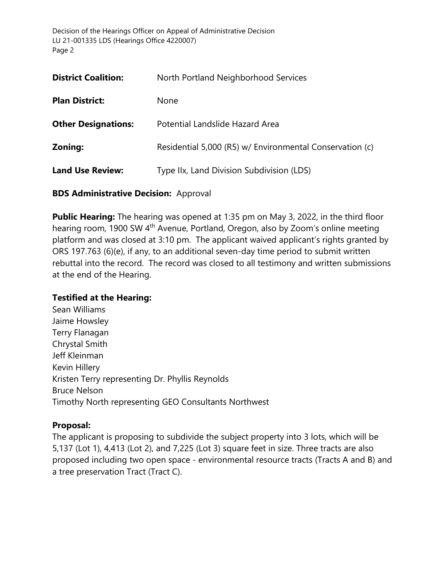| <b>District Coalition:</b> | North Portland Neighborhood Services                     |
|----------------------------|----------------------------------------------------------|
| <b>Plan District:</b>      | None                                                     |
| <b>Other Designations:</b> | Potential Landslide Hazard Area                          |
| Zoning:                    | Residential 5,000 (R5) w/ Environmental Conservation (c) |
| <b>Land Use Review:</b>    | Type IIx, Land Division Subdivision (LDS)                |
|                            |                                                          |

#### **BDS Administrative Decision:** Approval

**Public Hearing:** The hearing was opened at 1:35 pm on May 3, 2022, in the third floor hearing room, 1900 SW 4<sup>th</sup> Avenue, Portland, Oregon, also by Zoom's online meeting platform and was closed at 3:10 pm. The applicant waived applicant's rights granted by ORS 197.763 (6)(e), if any, to an additional seven-day time period to submit written rebuttal into the record. The record was closed to all testimony and written submissions at the end of the Hearing.

### **Testified at the Hearing:**

Sean Williams Jaime Howsley Terry Flanagan Chrystal Smith Jeff Kleinman Kevin Hillery Kristen Terry representing Dr. Phyllis Reynolds Bruce Nelson Timothy North representing GEO Consultants Northwest

### **Proposal:**

The applicant is proposing to subdivide the subject property into 3 lots, which will be 5,137 (Lot 1), 4,413 (Lot 2), and 7,225 (Lot 3) square feet in size. Three tracts are also proposed including two open space - environmental resource tracts (Tracts A and B) and a tree preservation Tract (Tract C).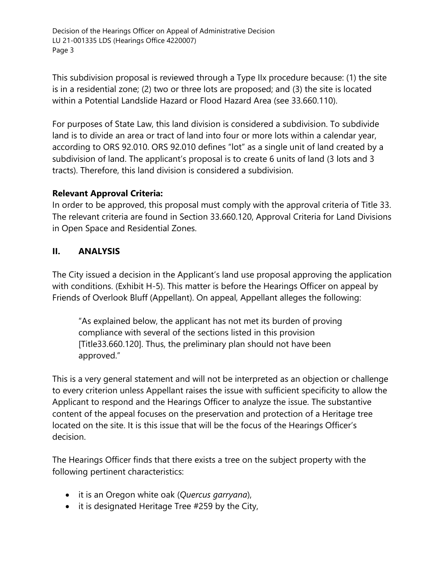This subdivision proposal is reviewed through a Type IIx procedure because: (1) the site is in a residential zone; (2) two or three lots are proposed; and (3) the site is located within a Potential Landslide Hazard or Flood Hazard Area (see 33.660.110).

For purposes of State Law, this land division is considered a subdivision. To subdivide land is to divide an area or tract of land into four or more lots within a calendar year, according to ORS 92.010. ORS 92.010 defines "lot" as a single unit of land created by a subdivision of land. The applicant's proposal is to create 6 units of land (3 lots and 3 tracts). Therefore, this land division is considered a subdivision.

# **Relevant Approval Criteria:**

In order to be approved, this proposal must comply with the approval criteria of Title 33. The relevant criteria are found in Section 33.660.120, Approval Criteria for Land Divisions in Open Space and Residential Zones.

# **II. ANALYSIS**

The City issued a decision in the Applicant's land use proposal approving the application with conditions. (Exhibit H-5). This matter is before the Hearings Officer on appeal by Friends of Overlook Bluff (Appellant). On appeal, Appellant alleges the following:

"As explained below, the applicant has not met its burden of proving compliance with several of the sections listed in this provision [Title33.660.120]. Thus, the preliminary plan should not have been approved."

This is a very general statement and will not be interpreted as an objection or challenge to every criterion unless Appellant raises the issue with sufficient specificity to allow the Applicant to respond and the Hearings Officer to analyze the issue. The substantive content of the appeal focuses on the preservation and protection of a Heritage tree located on the site. It is this issue that will be the focus of the Hearings Officer's decision.

The Hearings Officer finds that there exists a tree on the subject property with the following pertinent characteristics:

- it is an Oregon white oak (*Quercus garryana*),
- it is designated Heritage Tree #259 by the City,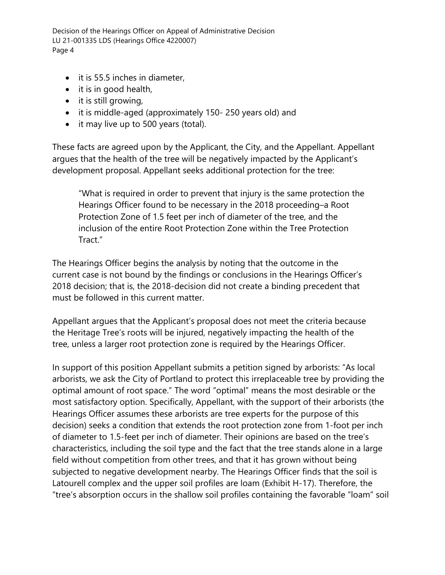- it is 55.5 inches in diameter,
- it is in good health,
- it is still growing,
- it is middle-aged (approximately 150- 250 years old) and
- it may live up to 500 years (total).

These facts are agreed upon by the Applicant, the City, and the Appellant. Appellant argues that the health of the tree will be negatively impacted by the Applicant's development proposal. Appellant seeks additional protection for the tree:

"What is required in order to prevent that injury is the same protection the Hearings Officer found to be necessary in the 2018 proceeding–a Root Protection Zone of 1.5 feet per inch of diameter of the tree, and the inclusion of the entire Root Protection Zone within the Tree Protection Tract."

The Hearings Officer begins the analysis by noting that the outcome in the current case is not bound by the findings or conclusions in the Hearings Officer's 2018 decision; that is, the 2018-decision did not create a binding precedent that must be followed in this current matter.

Appellant argues that the Applicant's proposal does not meet the criteria because the Heritage Tree's roots will be injured, negatively impacting the health of the tree, unless a larger root protection zone is required by the Hearings Officer.

In support of this position Appellant submits a petition signed by arborists: "As local arborists, we ask the City of Portland to protect this irreplaceable tree by providing the optimal amount of root space." The word "optimal" means the most desirable or the most satisfactory option. Specifically, Appellant, with the support of their arborists (the Hearings Officer assumes these arborists are tree experts for the purpose of this decision) seeks a condition that extends the root protection zone from 1-foot per inch of diameter to 1.5-feet per inch of diameter. Their opinions are based on the tree's characteristics, including the soil type and the fact that the tree stands alone in a large field without competition from other trees, and that it has grown without being subjected to negative development nearby. The Hearings Officer finds that the soil is Latourell complex and the upper soil profiles are loam (Exhibit H-17). Therefore, the "tree's absorption occurs in the shallow soil profiles containing the favorable "loam" soil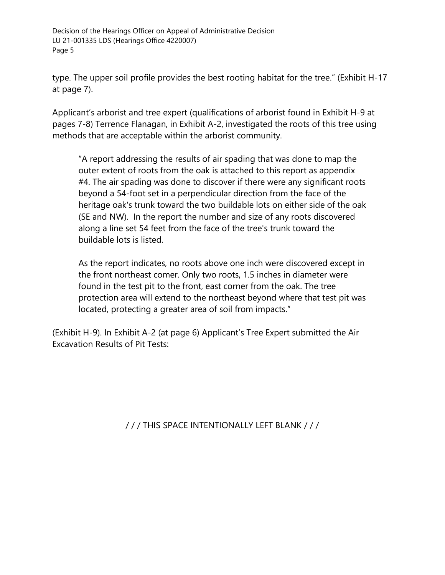type. The upper soil profile provides the best rooting habitat for the tree." (Exhibit H-17 at page 7).

Applicant's arborist and tree expert (qualifications of arborist found in Exhibit H-9 at pages 7-8) Terrence Flanagan, in Exhibit A-2, investigated the roots of this tree using methods that are acceptable within the arborist community.

"A report addressing the results of air spading that was done to map the outer extent of roots from the oak is attached to this report as appendix #4. The air spading was done to discover if there were any significant roots beyond a 54-foot set in a perpendicular direction from the face of the heritage oak's trunk toward the two buildable lots on either side of the oak (SE and NW). In the report the number and size of any roots discovered along a line set 54 feet from the face of the tree's trunk toward the buildable lots is listed.

As the report indicates, no roots above one inch were discovered except in the front northeast comer. Only two roots, 1.5 inches in diameter were found in the test pit to the front, east corner from the oak. The tree protection area will extend to the northeast beyond where that test pit was located, protecting a greater area of soil from impacts."

(Exhibit H-9). In Exhibit A-2 (at page 6) Applicant's Tree Expert submitted the Air Excavation Results of Pit Tests:

/ / / THIS SPACE INTENTIONALLY LEFT BLANK / / /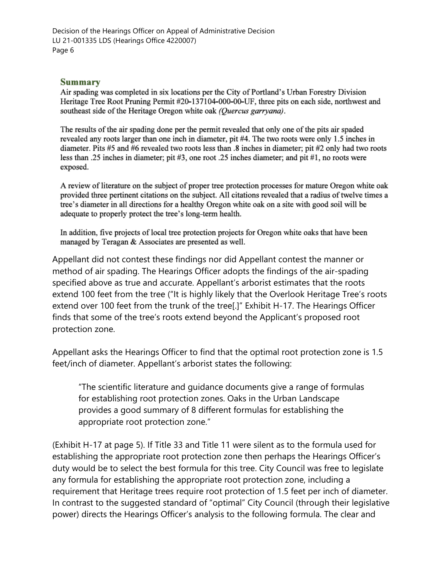#### **Summary**

Air spading was completed in six locations per the City of Portland's Urban Forestry Division Heritage Tree Root Pruning Permit #20-137104-000-00-UF, three pits on each side, northwest and southeast side of the Heritage Oregon white oak (Quercus garryana).

The results of the air spading done per the permit revealed that only one of the pits air spaded revealed any roots larger than one inch in diameter, pit #4. The two roots were only 1.5 inches in diameter. Pits #5 and #6 revealed two roots less than .8 inches in diameter; pit #2 only had two roots less than .25 inches in diameter; pit #3, one root .25 inches diameter; and pit #1, no roots were exposed.

A review of literature on the subject of proper tree protection processes for mature Oregon white oak provided three pertinent citations on the subject. All citations revealed that a radius of twelve times a tree's diameter in all directions for a healthy Oregon white oak on a site with good soil will be adequate to properly protect the tree's long-term health.

In addition, five projects of local tree protection projects for Oregon white oaks that have been managed by Teragan & Associates are presented as well.

Appellant did not contest these findings nor did Appellant contest the manner or method of air spading. The Hearings Officer adopts the findings of the air-spading specified above as true and accurate. Appellant's arborist estimates that the roots extend 100 feet from the tree ("It is highly likely that the Overlook Heritage Tree's roots extend over 100 feet from the trunk of the tree[.]" Exhibit H-17. The Hearings Officer finds that some of the tree's roots extend beyond the Applicant's proposed root protection zone.

Appellant asks the Hearings Officer to find that the optimal root protection zone is 1.5 feet/inch of diameter. Appellant's arborist states the following:

"The scientific literature and guidance documents give a range of formulas for establishing root protection zones. Oaks in the Urban Landscape provides a good summary of 8 different formulas for establishing the appropriate root protection zone."

(Exhibit H-17 at page 5). If Title 33 and Title 11 were silent as to the formula used for establishing the appropriate root protection zone then perhaps the Hearings Officer's duty would be to select the best formula for this tree. City Council was free to legislate any formula for establishing the appropriate root protection zone, including a requirement that Heritage trees require root protection of 1.5 feet per inch of diameter. In contrast to the suggested standard of "optimal" City Council (through their legislative power) directs the Hearings Officer's analysis to the following formula. The clear and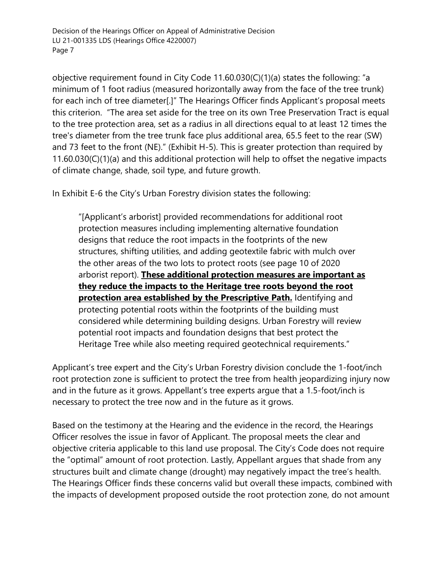objective requirement found in City Code 11.60.030(C)(1)(a) states the following: "a minimum of 1 foot radius (measured horizontally away from the face of the tree trunk) for each inch of tree diameter[.]" The Hearings Officer finds Applicant's proposal meets this criterion. "The area set aside for the tree on its own Tree Preservation Tract is equal to the tree protection area, set as a radius in all directions equal to at least 12 times the tree's diameter from the tree trunk face plus additional area, 65.5 feet to the rear (SW) and 73 feet to the front (NE)." (Exhibit H-5). This is greater protection than required by 11.60.030(C)(1)(a) and this additional protection will help to offset the negative impacts of climate change, shade, soil type, and future growth.

In Exhibit E-6 the City's Urban Forestry division states the following:

"[Applicant's arborist] provided recommendations for additional root protection measures including implementing alternative foundation designs that reduce the root impacts in the footprints of the new structures, shifting utilities, and adding geotextile fabric with mulch over the other areas of the two lots to protect roots (see page 10 of 2020 arborist report). **These additional protection measures are important as they reduce the impacts to the Heritage tree roots beyond the root protection area established by the Prescriptive Path.** Identifying and protecting potential roots within the footprints of the building must considered while determining building designs. Urban Forestry will review potential root impacts and foundation designs that best protect the Heritage Tree while also meeting required geotechnical requirements."

Applicant's tree expert and the City's Urban Forestry division conclude the 1-foot/inch root protection zone is sufficient to protect the tree from health jeopardizing injury now and in the future as it grows. Appellant's tree experts argue that a 1.5-foot/inch is necessary to protect the tree now and in the future as it grows.

Based on the testimony at the Hearing and the evidence in the record, the Hearings Officer resolves the issue in favor of Applicant. The proposal meets the clear and objective criteria applicable to this land use proposal. The City's Code does not require the "optimal" amount of root protection. Lastly, Appellant argues that shade from any structures built and climate change (drought) may negatively impact the tree's health. The Hearings Officer finds these concerns valid but overall these impacts, combined with the impacts of development proposed outside the root protection zone, do not amount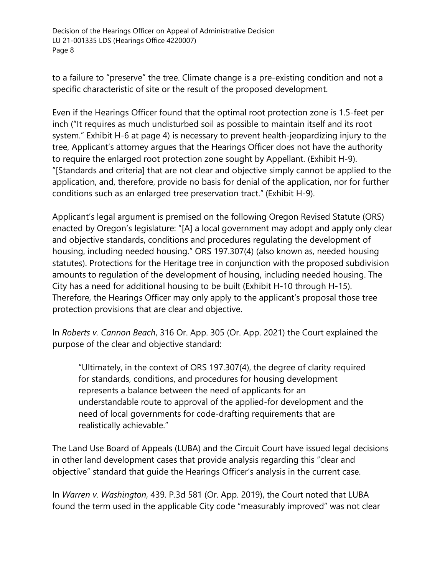to a failure to "preserve" the tree. Climate change is a pre-existing condition and not a specific characteristic of site or the result of the proposed development.

Even if the Hearings Officer found that the optimal root protection zone is 1.5-feet per inch ("It requires as much undisturbed soil as possible to maintain itself and its root system." Exhibit H-6 at page 4) is necessary to prevent health-jeopardizing injury to the tree, Applicant's attorney argues that the Hearings Officer does not have the authority to require the enlarged root protection zone sought by Appellant. (Exhibit H-9). "[Standards and criteria] that are not clear and objective simply cannot be applied to the application, and, therefore, provide no basis for denial of the application, nor for further conditions such as an enlarged tree preservation tract." (Exhibit H-9).

Applicant's legal argument is premised on the following Oregon Revised Statute (ORS) enacted by Oregon's legislature: "[A] a local government may adopt and apply only clear and objective standards, conditions and procedures regulating the development of housing, including needed housing." ORS 197.307(4) (also known as, needed housing statutes). Protections for the Heritage tree in conjunction with the proposed subdivision amounts to regulation of the development of housing, including needed housing. The City has a need for additional housing to be built (Exhibit H-10 through H-15). Therefore, the Hearings Officer may only apply to the applicant's proposal those tree protection provisions that are clear and objective.

In *Roberts v. Cannon Beach*, 316 Or. App. 305 (Or. App. 2021) the Court explained the purpose of the clear and objective standard:

"Ultimately, in the context of ORS 197.307(4), the degree of clarity required for standards, conditions, and procedures for housing development represents a balance between the need of applicants for an understandable route to approval of the applied-for development and the need of local governments for code-drafting requirements that are realistically achievable."

The Land Use Board of Appeals (LUBA) and the Circuit Court have issued legal decisions in other land development cases that provide analysis regarding this "clear and objective" standard that guide the Hearings Officer's analysis in the current case.

In *Warren v. Washington*, 439. P.3d 581 (Or. App. 2019), the Court noted that LUBA found the term used in the applicable City code "measurably improved" was not clear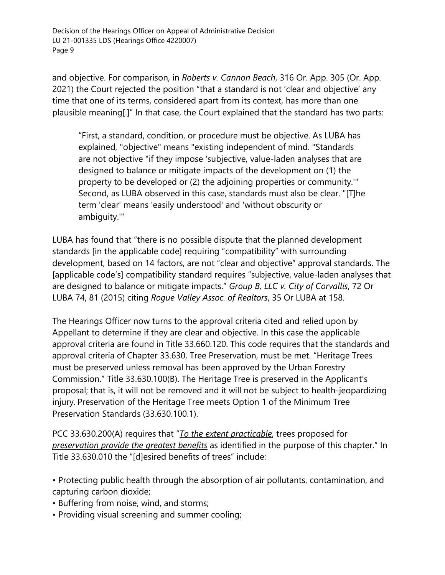and objective. For comparison, in *Roberts v. Cannon Beach*, 316 Or. App. 305 (Or. App. 2021) the Court rejected the position "that a standard is not 'clear and objective' any time that one of its terms, considered apart from its context, has more than one plausible meaning[.]" In that case, the Court explained that the standard has two parts:

"First, a standard, condition, or procedure must be objective. As LUBA has explained, "objective" means "existing independent of mind. "Standards are not objective "if they impose 'subjective, value-laden analyses that are designed to balance or mitigate impacts of the development on (1) the property to be developed or (2) the adjoining properties or community.'" Second, as LUBA observed in this case, standards must also be clear. "[T]he term 'clear' means 'easily understood' and 'without obscurity or ambiguity.'"

LUBA has found that "there is no possible dispute that the planned development standards [in the applicable code] requiring "compatibility" with surrounding development, based on 14 factors, are not "clear and objective" approval standards. The [applicable code's] compatibility standard requires "subjective, value-laden analyses that are designed to balance or mitigate impacts." *Group B, LLC v. City of Corvallis*, 72 Or LUBA 74, 81 (2015) citing *Rogue Valley Assoc. of Realtors*, 35 Or LUBA at 158.

The Hearings Officer now turns to the approval criteria cited and relied upon by Appellant to determine if they are clear and objective. In this case the applicable approval criteria are found in Title 33.660.120. This code requires that the standards and approval criteria of Chapter 33.630, Tree Preservation, must be met. "Heritage Trees must be preserved unless removal has been approved by the Urban Forestry Commission." Title 33.630.100(B). The Heritage Tree is preserved in the Applicant's proposal; that is, it will not be removed and it will not be subject to health-jeopardizing injury. Preservation of the Heritage Tree meets Option 1 of the Minimum Tree Preservation Standards (33.630.100.1).

PCC 33.630.200(A) requires that "*To the extent practicable*, trees proposed for *preservation provide the greatest benefits* as identified in the purpose of this chapter." In Title 33.630.010 the "[d]esired benefits of trees" include:

• Protecting public health through the absorption of air pollutants, contamination, and capturing carbon dioxide;

- Buffering from noise, wind, and storms;
- Providing visual screening and summer cooling;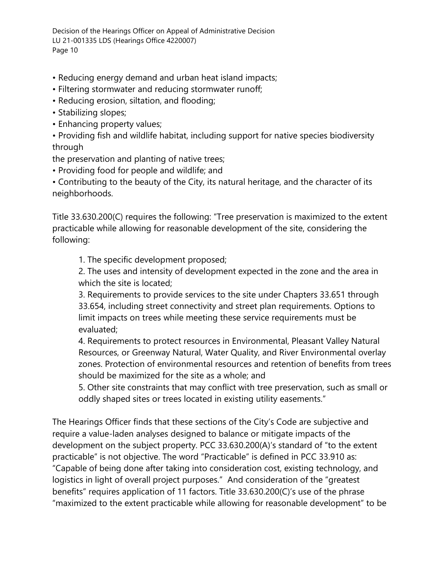- Reducing energy demand and urban heat island impacts;
- Filtering stormwater and reducing stormwater runoff;
- Reducing erosion, siltation, and flooding;
- Stabilizing slopes;
- Enhancing property values;

• Providing fish and wildlife habitat, including support for native species biodiversity through

the preservation and planting of native trees;

• Providing food for people and wildlife; and

• Contributing to the beauty of the City, its natural heritage, and the character of its neighborhoods.

Title 33.630.200(C) requires the following: "Tree preservation is maximized to the extent practicable while allowing for reasonable development of the site, considering the following:

1. The specific development proposed;

2. The uses and intensity of development expected in the zone and the area in which the site is located;

3. Requirements to provide services to the site under Chapters 33.651 through 33.654, including street connectivity and street plan requirements. Options to limit impacts on trees while meeting these service requirements must be evaluated;

4. Requirements to protect resources in Environmental, Pleasant Valley Natural Resources, or Greenway Natural, Water Quality, and River Environmental overlay zones. Protection of environmental resources and retention of benefits from trees should be maximized for the site as a whole; and

5. Other site constraints that may conflict with tree preservation, such as small or oddly shaped sites or trees located in existing utility easements."

The Hearings Officer finds that these sections of the City's Code are subjective and require a value-laden analyses designed to balance or mitigate impacts of the development on the subject property. PCC 33.630.200(A)'s standard of "to the extent practicable" is not objective. The word "Practicable" is defined in PCC 33.910 as: "Capable of being done after taking into consideration cost, existing technology, and logistics in light of overall project purposes." And consideration of the "greatest benefits" requires application of 11 factors. Title 33.630.200(C)'s use of the phrase "maximized to the extent practicable while allowing for reasonable development" to be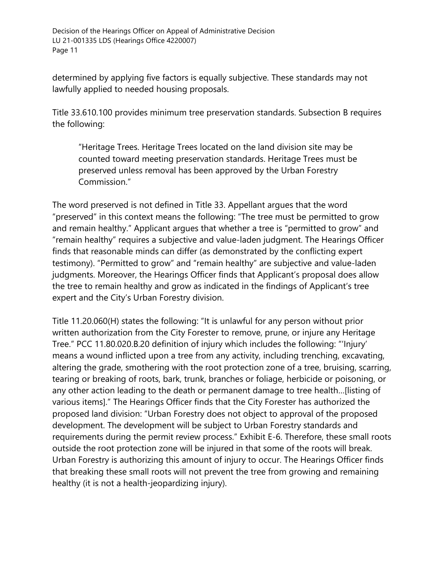determined by applying five factors is equally subjective. These standards may not lawfully applied to needed housing proposals.

Title 33.610.100 provides minimum tree preservation standards. Subsection B requires the following:

"Heritage Trees. Heritage Trees located on the land division site may be counted toward meeting preservation standards. Heritage Trees must be preserved unless removal has been approved by the Urban Forestry Commission."

The word preserved is not defined in Title 33. Appellant argues that the word "preserved" in this context means the following: "The tree must be permitted to grow and remain healthy." Applicant argues that whether a tree is "permitted to grow" and "remain healthy" requires a subjective and value-laden judgment. The Hearings Officer finds that reasonable minds can differ (as demonstrated by the conflicting expert testimony). "Permitted to grow" and "remain healthy" are subjective and value-laden judgments. Moreover, the Hearings Officer finds that Applicant's proposal does allow the tree to remain healthy and grow as indicated in the findings of Applicant's tree expert and the City's Urban Forestry division.

Title 11.20.060(H) states the following: "It is unlawful for any person without prior written authorization from the City Forester to remove, prune, or injure any Heritage Tree." PCC 11.80.020.B.20 definition of injury which includes the following: "'Injury' means a wound inflicted upon a tree from any activity, including trenching, excavating, altering the grade, smothering with the root protection zone of a tree, bruising, scarring, tearing or breaking of roots, bark, trunk, branches or foliage, herbicide or poisoning, or any other action leading to the death or permanent damage to tree health…[listing of various items]." The Hearings Officer finds that the City Forester has authorized the proposed land division: "Urban Forestry does not object to approval of the proposed development. The development will be subject to Urban Forestry standards and requirements during the permit review process." Exhibit E-6. Therefore, these small roots outside the root protection zone will be injured in that some of the roots will break. Urban Forestry is authorizing this amount of injury to occur. The Hearings Officer finds that breaking these small roots will not prevent the tree from growing and remaining healthy (it is not a health-jeopardizing injury).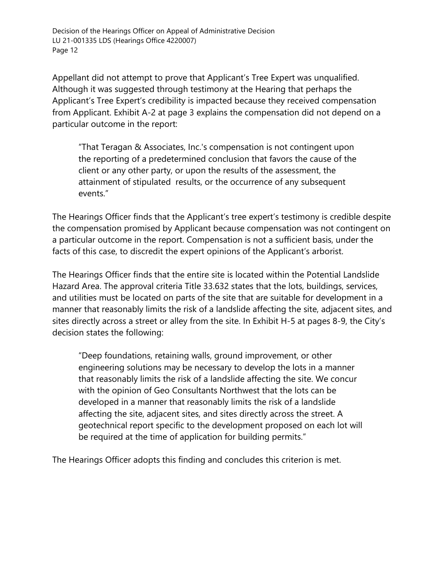Appellant did not attempt to prove that Applicant's Tree Expert was unqualified. Although it was suggested through testimony at the Hearing that perhaps the Applicant's Tree Expert's credibility is impacted because they received compensation from Applicant. Exhibit A-2 at page 3 explains the compensation did not depend on a particular outcome in the report:

"That Teragan & Associates, Inc.'s compensation is not contingent upon the reporting of a predetermined conclusion that favors the cause of the client or any other party, or upon the results of the assessment, the attainment of stipulated results, or the occurrence of any subsequent events."

The Hearings Officer finds that the Applicant's tree expert's testimony is credible despite the compensation promised by Applicant because compensation was not contingent on a particular outcome in the report. Compensation is not a sufficient basis, under the facts of this case, to discredit the expert opinions of the Applicant's arborist.

The Hearings Officer finds that the entire site is located within the Potential Landslide Hazard Area. The approval criteria Title 33.632 states that the lots, buildings, services, and utilities must be located on parts of the site that are suitable for development in a manner that reasonably limits the risk of a landslide affecting the site, adjacent sites, and sites directly across a street or alley from the site. In Exhibit H-5 at pages 8-9, the City's decision states the following:

"Deep foundations, retaining walls, ground improvement, or other engineering solutions may be necessary to develop the lots in a manner that reasonably limits the risk of a landslide affecting the site. We concur with the opinion of Geo Consultants Northwest that the lots can be developed in a manner that reasonably limits the risk of a landslide affecting the site, adjacent sites, and sites directly across the street. A geotechnical report specific to the development proposed on each lot will be required at the time of application for building permits."

The Hearings Officer adopts this finding and concludes this criterion is met.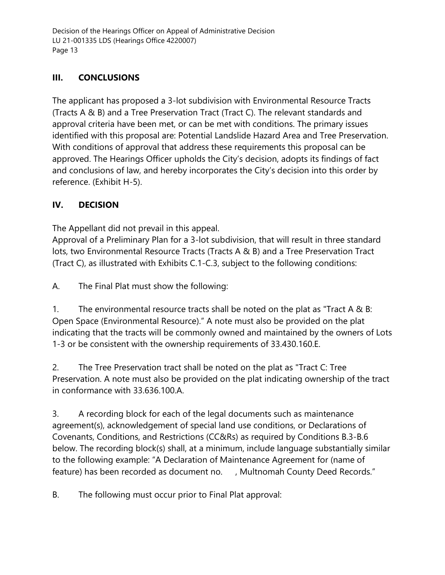# **III. CONCLUSIONS**

The applicant has proposed a 3-lot subdivision with Environmental Resource Tracts (Tracts A & B) and a Tree Preservation Tract (Tract C). The relevant standards and approval criteria have been met, or can be met with conditions. The primary issues identified with this proposal are: Potential Landslide Hazard Area and Tree Preservation. With conditions of approval that address these requirements this proposal can be approved. The Hearings Officer upholds the City's decision, adopts its findings of fact and conclusions of law, and hereby incorporates the City's decision into this order by reference. (Exhibit H-5).

# **IV. DECISION**

The Appellant did not prevail in this appeal.

Approval of a Preliminary Plan for a 3-lot subdivision, that will result in three standard lots, two Environmental Resource Tracts (Tracts A & B) and a Tree Preservation Tract (Tract C), as illustrated with Exhibits C.1-C.3, subject to the following conditions:

A. The Final Plat must show the following:

1. The environmental resource tracts shall be noted on the plat as "Tract A & B: Open Space (Environmental Resource)." A note must also be provided on the plat indicating that the tracts will be commonly owned and maintained by the owners of Lots 1-3 or be consistent with the ownership requirements of 33.430.160.E.

2. The Tree Preservation tract shall be noted on the plat as "Tract C: Tree Preservation. A note must also be provided on the plat indicating ownership of the tract in conformance with 33.636.100.A.

3. A recording block for each of the legal documents such as maintenance agreement(s), acknowledgement of special land use conditions, or Declarations of Covenants, Conditions, and Restrictions (CC&Rs) as required by Conditions B.3-B.6 below. The recording block(s) shall, at a minimum, include language substantially similar to the following example: "A Declaration of Maintenance Agreement for (name of feature) has been recorded as document no. , Multnomah County Deed Records."

B. The following must occur prior to Final Plat approval: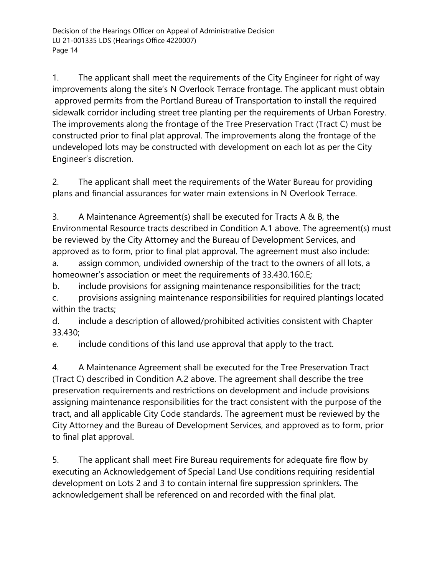1. The applicant shall meet the requirements of the City Engineer for right of way improvements along the site's N Overlook Terrace frontage. The applicant must obtain approved permits from the Portland Bureau of Transportation to install the required sidewalk corridor including street tree planting per the requirements of Urban Forestry. The improvements along the frontage of the Tree Preservation Tract (Tract C) must be constructed prior to final plat approval. The improvements along the frontage of the undeveloped lots may be constructed with development on each lot as per the City Engineer's discretion.

2. The applicant shall meet the requirements of the Water Bureau for providing plans and financial assurances for water main extensions in N Overlook Terrace.

3. A Maintenance Agreement(s) shall be executed for Tracts A & B, the Environmental Resource tracts described in Condition A.1 above. The agreement(s) must be reviewed by the City Attorney and the Bureau of Development Services, and approved as to form, prior to final plat approval. The agreement must also include:

a. assign common, undivided ownership of the tract to the owners of all lots, a homeowner's association or meet the requirements of 33.430.160.E;

b. include provisions for assigning maintenance responsibilities for the tract; c. provisions assigning maintenance responsibilities for required plantings located within the tracts;

d. include a description of allowed/prohibited activities consistent with Chapter 33.430;

e. include conditions of this land use approval that apply to the tract.

4. A Maintenance Agreement shall be executed for the Tree Preservation Tract (Tract C) described in Condition A.2 above. The agreement shall describe the tree preservation requirements and restrictions on development and include provisions assigning maintenance responsibilities for the tract consistent with the purpose of the tract, and all applicable City Code standards. The agreement must be reviewed by the City Attorney and the Bureau of Development Services, and approved as to form, prior to final plat approval.

5. The applicant shall meet Fire Bureau requirements for adequate fire flow by executing an Acknowledgement of Special Land Use conditions requiring residential development on Lots 2 and 3 to contain internal fire suppression sprinklers. The acknowledgement shall be referenced on and recorded with the final plat.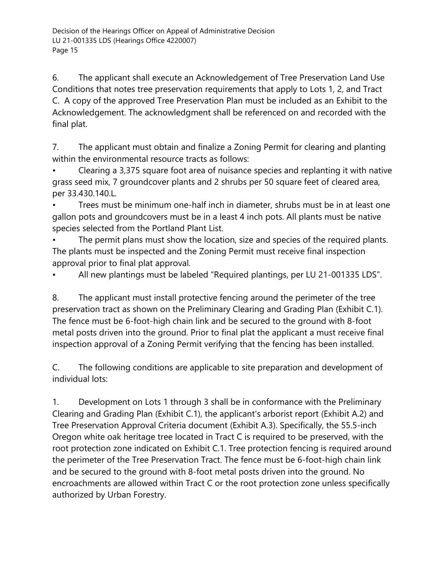6. The applicant shall execute an Acknowledgement of Tree Preservation Land Use Conditions that notes tree preservation requirements that apply to Lots 1, 2, and Tract C. A copy of the approved Tree Preservation Plan must be included as an Exhibit to the Acknowledgement. The acknowledgment shall be referenced on and recorded with the final plat.

7. The applicant must obtain and finalize a Zoning Permit for clearing and planting within the environmental resource tracts as follows:

• Clearing a 3,375 square foot area of nuisance species and replanting it with native grass seed mix, 7 groundcover plants and 2 shrubs per 50 square feet of cleared area, per 33.430.140.L.

• Trees must be minimum one-half inch in diameter, shrubs must be in at least one gallon pots and groundcovers must be in a least 4 inch pots. All plants must be native species selected from the Portland Plant List.

The permit plans must show the location, size and species of the required plants. The plants must be inspected and the Zoning Permit must receive final inspection approval prior to final plat approval.

• All new plantings must be labeled "Required plantings, per LU 21-001335 LDS".

8. The applicant must install protective fencing around the perimeter of the tree preservation tract as shown on the Preliminary Clearing and Grading Plan (Exhibit C.1). The fence must be 6-foot-high chain link and be secured to the ground with 8-foot metal posts driven into the ground. Prior to final plat the applicant a must receive final inspection approval of a Zoning Permit verifying that the fencing has been installed.

C. The following conditions are applicable to site preparation and development of individual lots:

1. Development on Lots 1 through 3 shall be in conformance with the Preliminary Clearing and Grading Plan (Exhibit C.1), the applicant's arborist report (Exhibit A.2) and Tree Preservation Approval Criteria document (Exhibit A.3). Specifically, the 55.5-inch Oregon white oak heritage tree located in Tract C is required to be preserved, with the root protection zone indicated on Exhibit C.1. Tree protection fencing is required around the perimeter of the Tree Preservation Tract. The fence must be 6-foot-high chain link and be secured to the ground with 8-foot metal posts driven into the ground. No encroachments are allowed within Tract C or the root protection zone unless specifically authorized by Urban Forestry.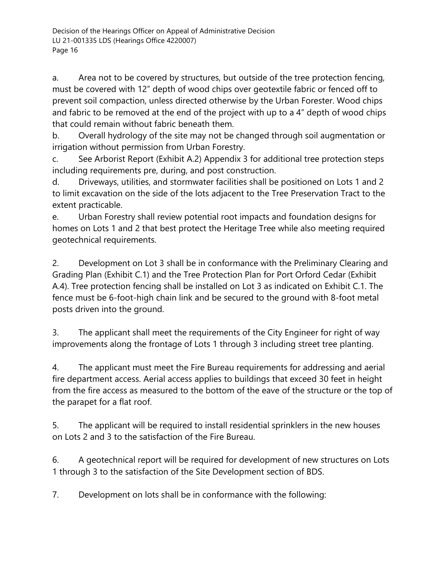a. Area not to be covered by structures, but outside of the tree protection fencing, must be covered with 12" depth of wood chips over geotextile fabric or fenced off to prevent soil compaction, unless directed otherwise by the Urban Forester. Wood chips and fabric to be removed at the end of the project with up to a 4" depth of wood chips that could remain without fabric beneath them.

b. Overall hydrology of the site may not be changed through soil augmentation or irrigation without permission from Urban Forestry.

c. See Arborist Report (Exhibit A.2) Appendix 3 for additional tree protection steps including requirements pre, during, and post construction.

d. Driveways, utilities, and stormwater facilities shall be positioned on Lots 1 and 2 to limit excavation on the side of the lots adjacent to the Tree Preservation Tract to the extent practicable.

e. Urban Forestry shall review potential root impacts and foundation designs for homes on Lots 1 and 2 that best protect the Heritage Tree while also meeting required geotechnical requirements.

2. Development on Lot 3 shall be in conformance with the Preliminary Clearing and Grading Plan (Exhibit C.1) and the Tree Protection Plan for Port Orford Cedar (Exhibit A.4). Tree protection fencing shall be installed on Lot 3 as indicated on Exhibit C.1. The fence must be 6-foot-high chain link and be secured to the ground with 8-foot metal posts driven into the ground.

3. The applicant shall meet the requirements of the City Engineer for right of way improvements along the frontage of Lots 1 through 3 including street tree planting.

4. The applicant must meet the Fire Bureau requirements for addressing and aerial fire department access. Aerial access applies to buildings that exceed 30 feet in height from the fire access as measured to the bottom of the eave of the structure or the top of the parapet for a flat roof.

5. The applicant will be required to install residential sprinklers in the new houses on Lots 2 and 3 to the satisfaction of the Fire Bureau.

6. A geotechnical report will be required for development of new structures on Lots 1 through 3 to the satisfaction of the Site Development section of BDS.

7. Development on lots shall be in conformance with the following: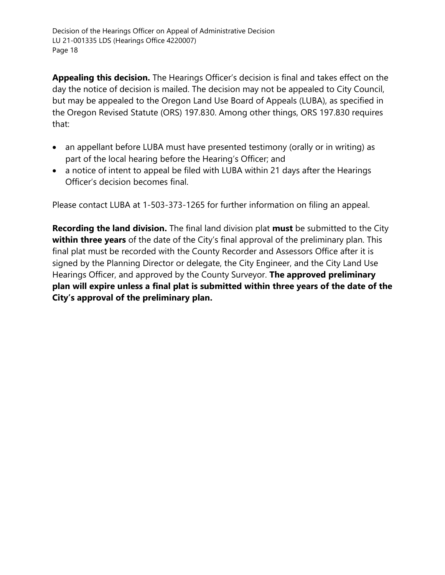**Appealing this decision.** The Hearings Officer's decision is final and takes effect on the day the notice of decision is mailed. The decision may not be appealed to City Council, but may be appealed to the Oregon Land Use Board of Appeals (LUBA), as specified in the Oregon Revised Statute (ORS) 197.830. Among other things, ORS 197.830 requires that:

- an appellant before LUBA must have presented testimony (orally or in writing) as part of the local hearing before the Hearing's Officer; and
- a notice of intent to appeal be filed with LUBA within 21 days after the Hearings Officer's decision becomes final.

Please contact LUBA at 1-503-373-1265 for further information on filing an appeal.

**Recording the land division.** The final land division plat **must** be submitted to the City **within three years** of the date of the City's final approval of the preliminary plan. This final plat must be recorded with the County Recorder and Assessors Office after it is signed by the Planning Director or delegate, the City Engineer, and the City Land Use Hearings Officer, and approved by the County Surveyor. **The approved preliminary plan will expire unless a final plat is submitted within three years of the date of the City's approval of the preliminary plan.**